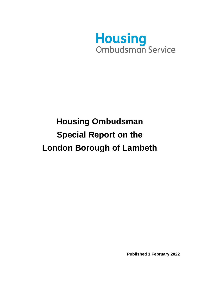

# **Housing Ombudsman Special Report on the London Borough of Lambeth**

**Published 1 February 2022**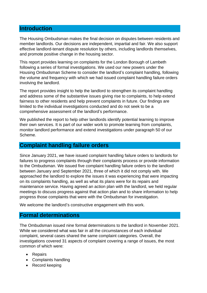### **Introduction**

The Housing Ombudsman makes the final decision on disputes between residents and member landlords. Our decisions are independent, impartial and fair. We also support effective landlord-tenant dispute resolution by others, including landlords themselves, and promote positive change in the housing sector.

This report provides learning on complaints for the London Borough of Lambeth following a series of formal investigations. We used our new powers under the Housing Ombudsman Scheme to consider the landlord's complaint handling, following the volume and frequency with which we had issued complaint handling failure orders involving the landlord.

The report provides insight to help the landlord to strengthen its complaint handling and address some of the substantive issues giving rise to complaints, to help extend fairness to other residents and help prevent complaints in future. Our findings are limited to the individual investigations conducted and do not seek to be a comprehensive assessment of the landlord's performance.

We published the report to help other landlords identify potential learning to improve their own services. It is part of our wider work to promote learning from complaints, monitor landlord performance and extend investigations under paragraph 50 of our Scheme.

## **Complaint handling failure orders**

Since January 2021, we have issued complaint handling failure orders to landlords for failures to progress complaints through their complaints process or provide information to the Ombudsman. We issued five complaint handling failure orders to the landlord between January and September 2021, three of which it did not comply with. We approached the landlord to explore the issues it was experiencing that were impacting on its complaints handling, as well as what its plans were for its repairs and maintenance service. Having agreed an action plan with the landlord, we held regular meetings to discuss progress against that action plan and to share information to help progress those complaints that were with the Ombudsman for investigation.

We welcome the landlord's constructive engagement with this work.

## **Formal determinations**

The Ombudsman issued nine formal determinations to the landlord in November 2021. While we considered what was fair in all the circumstances of each individual complaint, several cases shared the same complaint categories. Overall, the investigations covered 31 aspects of complaint covering a range of issues, the most common of which were:

- Repairs
- Complaints handling
- Record keeping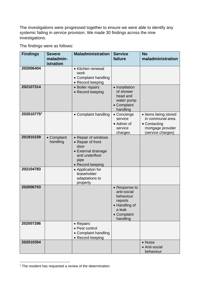The investigations were progressed together to ensure we were able to identify any systemic failing in service provision. We made 30 findings across the nine investigations.

The findings were as follows:

| <b>Findings</b> | <b>Severe</b><br>maladmin-<br>istration | <b>Maladministration</b>                                                                                              | <b>Service</b><br>failure                                                                                  | <b>No</b><br>maladministration                                                                     |
|-----------------|-----------------------------------------|-----------------------------------------------------------------------------------------------------------------------|------------------------------------------------------------------------------------------------------------|----------------------------------------------------------------------------------------------------|
| 202006404       |                                         | • Kitchen renewal<br>work<br>• Complaint handling<br>• Record keeping                                                 |                                                                                                            |                                                                                                    |
| 202107314       |                                         | • Boiler repairs<br>• Record keeping                                                                                  | • Installation<br>of shower<br>head and<br>water pump<br>• Complaint<br>handling                           |                                                                                                    |
| 2020107751      |                                         | • Complaint handling                                                                                                  | • Concierge<br>service<br>• Admin of<br>service<br>charges                                                 | • Items being stored<br>in communal area<br>• Contacting<br>mortgage provider<br>(service charges) |
| 201910159       | • Complaint<br>handling                 | • Repair of windows<br>• Repair of front<br>door<br>• External drainage<br>and underfloor<br>pipe<br>• Record keeping |                                                                                                            |                                                                                                    |
| 202104783       |                                         | • Application for<br>leaseholder<br>adaptations to<br>property                                                        |                                                                                                            |                                                                                                    |
| 202006703       |                                         |                                                                                                                       | • Response to<br>anti-social<br>behaviour<br>reports<br>• Handling of<br>a leak<br>• Complaint<br>handling |                                                                                                    |
| 202007286       |                                         | • Repairs<br>• Pest control<br>• Complaint handling<br>• Record keeping                                               |                                                                                                            |                                                                                                    |
| 202010354       |                                         |                                                                                                                       |                                                                                                            | • Noise<br>• Anti-social<br>behaviour                                                              |

<sup>&</sup>lt;sup>1</sup> The resident has requested a review of the determination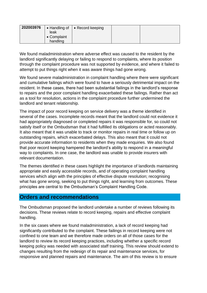| 202003976 | leak<br>• Complaint | • Handling of $  \cdot \text{Record keeping}$ |  |
|-----------|---------------------|-----------------------------------------------|--|
|           | handling            |                                               |  |

We found maladministration where adverse effect was caused to the resident by the landlord significantly delaying or failing to respond to complaints, where its position through the complaint procedure was not supported by evidence, and where it failed to attempt to put things right when it was aware things had gone wrong.

We found severe maladministration in complaint handling where there were significant and cumulative failings which were found to have a seriously detrimental impact on the resident. In these cases, there had been substantial failings in the landlord's response to repairs and the poor complaint handling exacerbated these failings. Rather than act as a tool for resolution, actions in the complaint procedure further undermined the landlord and tenant relationship.

The impact of poor record keeping on service delivery was a theme identified in several of the cases. Incomplete records meant that the landlord could not evidence it had appropriately diagnosed or completed repairs it was responsible for, so could not satisfy itself or the Ombudsman that it had fulfilled its obligations or acted reasonably. It also meant that it was unable to track or monitor repairs in real time or follow up on outstanding repairs, which exacerbated delays. This also meant that it could not provide accurate information to residents when they made enquiries. We also found that poor record keeping hampered the landlord's ability to respond in a meaningful way to complaints. In one case, the landlord was unable to provide insurers with relevant documentation.

The themes identified in these cases highlight the importance of landlords maintaining appropriate and easily accessible records, and of operating complaint handling services which align with the principles of effective dispute resolution; recognising what has gone wrong, seeking to put things right, and learning from outcomes. These principles are central to the Ombudsman's Complaint Handling Code.

### **Orders and recommendations**

The Ombudsman proposed the landlord undertake a number of reviews following its decisions. These reviews relate to record keeping, repairs and effective complaint handling.

In the six cases where we found maladministration, a lack of record keeping had significantly contributed to the complaint. These failings in record keeping were not confined to one team and we therefore made orders on all of those cases for the landlord to review its record keeping practices, including whether a specific record keeping policy was needed with associated staff training. This review should extend to changes resulting from the redesign of its repair and maintenance services, for responsive and planned repairs and maintenance. The aim of this review is to ensure